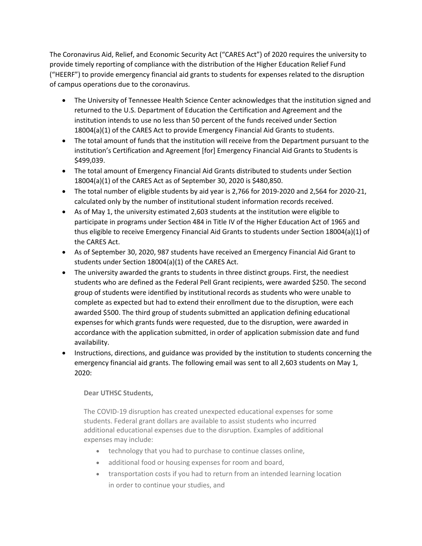The Coronavirus Aid, Relief, and Economic Security Act ("CARES Act") of 2020 requires the university to provide timely reporting of compliance with the distribution of the Higher Education Relief Fund ("HEERF") to provide emergency financial aid grants to students for expenses related to the disruption of campus operations due to the coronavirus.

- The University of Tennessee Health Science Center acknowledges that the institution signed and returned to the U.S. Department of Education the Certification and Agreement and the institution intends to use no less than 50 percent of the funds received under Section 18004(a)(1) of the CARES Act to provide Emergency Financial Aid Grants to students.
- The total amount of funds that the institution will receive from the Department pursuant to the institution's Certification and Agreement [for] Emergency Financial Aid Grants to Students is \$499,039.
- The total amount of Emergency Financial Aid Grants distributed to students under Section 18004(a)(1) of the CARES Act as of September 30, 2020 is \$480,850.
- The total number of eligible students by aid year is 2,766 for 2019-2020 and 2,564 for 2020-21, calculated only by the number of institutional student information records received.
- As of May 1, the university estimated 2,603 students at the institution were eligible to participate in programs under Section 484 in Title IV of the Higher Education Act of 1965 and thus eligible to receive Emergency Financial Aid Grants to students under Section 18004(a)(1) of the CARES Act.
- As of September 30, 2020, 987 students have received an Emergency Financial Aid Grant to students under Section 18004(a)(1) of the CARES Act.
- The university awarded the grants to students in three distinct groups. First, the neediest students who are defined as the Federal Pell Grant recipients, were awarded \$250. The second group of students were identified by institutional records as students who were unable to complete as expected but had to extend their enrollment due to the disruption, were each awarded \$500. The third group of students submitted an application defining educational expenses for which grants funds were requested, due to the disruption, were awarded in accordance with the application submitted, in order of application submission date and fund availability.
- Instructions, directions, and guidance was provided by the institution to students concerning the emergency financial aid grants. The following email was sent to all 2,603 students on May 1, 2020:

## **Dear UTHSC Students,**

The COVID-19 disruption has created unexpected educational expenses for some students. Federal grant dollars are available to assist students who incurred additional educational expenses due to the disruption. Examples of additional expenses may include:

- technology that you had to purchase to continue classes online,
- additional food or housing expenses for room and board,
- transportation costs if you had to return from an intended learning location in order to continue your studies, and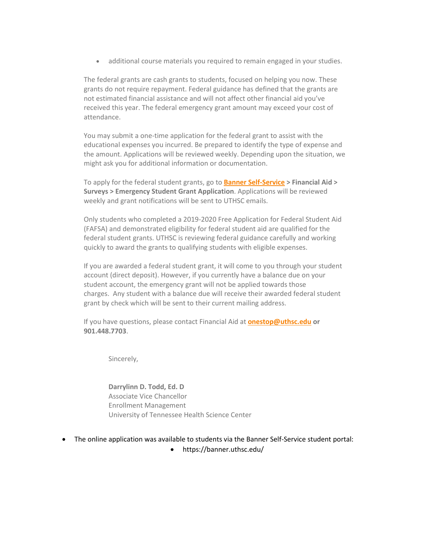• additional course materials you required to remain engaged in your studies.

The federal grants are cash grants to students, focused on helping you now. These grants do not require repayment. Federal guidance has defined that the grants are not estimated financial assistance and will not affect other financial aid you've received this year. The federal emergency grant amount may exceed your cost of attendance.

You may submit a one-time application for the federal grant to assist with the educational expenses you incurred. Be prepared to identify the type of expense and the amount. Applications will be reviewed weekly. Depending upon the situation, we might ask you for additional information or documentation.

To apply for the federal student grants, go to **Banner Self-Service > Financial Aid > Surveys > Emergency Student Grant Application**. Applications will be reviewed weekly and grant notifications will be sent to UTHSC emails.

Only students who completed a 2019-2020 Free Application for Federal Student Aid (FAFSA) and demonstrated eligibility for federal student aid are qualified for the federal student grants. UTHSC is reviewing federal guidance carefully and working quickly to award the grants to qualifying students with eligible expenses.

If you are awarded a federal student grant, it will come to you through your student account (direct deposit). However, if you currently have a balance due on your student account, the emergency grant will not be applied towards those charges. Any student with a balance due will receive their awarded federal student grant by check which will be sent to their current mailing address.

If you have questions, please contact Financial Aid at **[onestop@uthsc.edu](mailto:onestop@uthsc.edu) or 901.448.7703**.

Sincerely,

**Darrylinn D. Todd, Ed. D** Associate Vice Chancellor Enrollment Management University of Tennessee Health Science Center

- The online application was available to students via the Banner Self-Service student portal:
	- https://banner.uthsc.edu/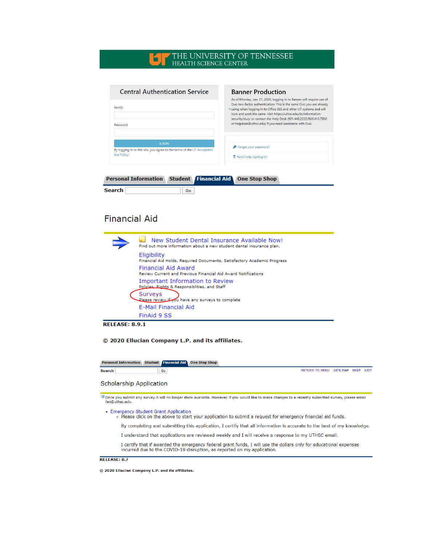## THE UNIVERSITY OF TENNESSEE HEALTH SCIENCE CENTER

| <b>Banner Production</b>                                                                                                                                                                                                                                                               |  |
|----------------------------------------------------------------------------------------------------------------------------------------------------------------------------------------------------------------------------------------------------------------------------------------|--|
| As of Monday, Jan. 27, 2020, logging in to Banner will require use of<br>Duo two-factor authentication. This is the same Duo you are already<br>"using when logging in to Office 365 and other UT systems and will<br>look and work the same. Visit https://uthsc.edu/its/information- |  |
| security/duo/ or contact the Help Desk (901.448.2222/800.413.7830<br>or helpdesk@uthsc.edu) if you need assistance with Duo.                                                                                                                                                           |  |
|                                                                                                                                                                                                                                                                                        |  |
| P Forget your password?<br>? Need help signing in?                                                                                                                                                                                                                                     |  |
|                                                                                                                                                                                                                                                                                        |  |

| <b>Personal Information Student Financial Aid One Stop Shop</b> |  |  |  |
|-----------------------------------------------------------------|--|--|--|
|-----------------------------------------------------------------|--|--|--|

| Search |  |
|--------|--|
|        |  |

# **Financial Aid**

| New Student Dental Insurance Available Now!<br>Find out more information about a new student dental insurance plan. |
|---------------------------------------------------------------------------------------------------------------------|
| Eligibility<br>Financial Aid Holds, Required Documents, Satisfactory Academic Progress                              |
| Financial Aid Award<br><b>Review Current and Previous Financial Aid Award Notifications</b>                         |
| Important Information to Review<br>Policies, Rights & Responsiblities, and Staff                                    |
| Surveys<br>Olease review to omplete                                                                                 |
| E-Mail Financial Aid                                                                                                |
| FinAid 9 SS                                                                                                         |

**RELEASE: 8.9.1** 

© 2020 Ellucian Company L.P. and its affiliates.

Personal Information Student Financial Aid One Stop Shop

Search

 $\boxed{60}$ 

RETURN TO MENU SITE MAP HELP EXIT

## **Scholarship Application**

Tonce you submit any survey it will no longer show available. However, if you would like to make changes to a recently submitted survey, please email<br>fao@uthsc.edu.

• Emergency Student Grant Application

. Please click on the above to start your application to submit a request for emergency financial aid funds.

By completing and submitting this application, I certify that all information is accurate to the best of my knowledge.

I understand that applications are reviewed weekly and I will receive a response to my UTHSC email.

I certify that if awarded the emergency federal grant funds, I will use the dollars only for educational expenses incurred due to the COVID-19 disruption, as reported on my application.

#### RELEASE: 8.7

© 2020 Ellucian Company L.P. and its affiliates.